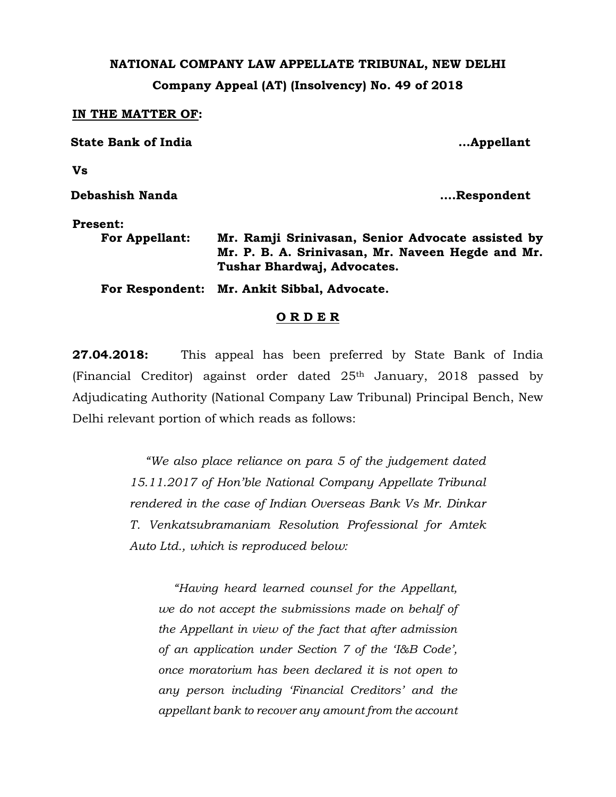## **NATIONAL COMPANY LAW APPELLATE TRIBUNAL, NEW DELHI Company Appeal (AT) (Insolvency) No. 49 of 2018**

#### **IN THE MATTER OF:**

| <b>State Bank of India</b> | Appellant                                                                                                                             |
|----------------------------|---------------------------------------------------------------------------------------------------------------------------------------|
| Vs                         |                                                                                                                                       |
| Debashish Nanda            | Respondent                                                                                                                            |
| <b>Present:</b>            |                                                                                                                                       |
| <b>For Appellant:</b>      | Mr. Ramji Srinivasan, Senior Advocate assisted by<br>Mr. P. B. A. Srinivasan, Mr. Naveen Hegde and Mr.<br>Tushar Bhardwaj, Advocates. |
|                            | For Respondent: Mr. Ankit Sibbal, Advocate.                                                                                           |
|                            | <b>RDER</b>                                                                                                                           |

# **27.04.2018:** This appeal has been preferred by State Bank of India (Financial Creditor) against order dated 25th January, 2018 passed by Adjudicating Authority (National Company Law Tribunal) Principal Bench, New Delhi relevant portion of which reads as follows:

*"We also place reliance on para 5 of the judgement dated 15.11.2017 of Hon'ble National Company Appellate Tribunal rendered in the case of Indian Overseas Bank Vs Mr. Dinkar T. Venkatsubramaniam Resolution Professional for Amtek Auto Ltd., which is reproduced below:*

*"Having heard learned counsel for the Appellant, we do not accept the submissions made on behalf of the Appellant in view of the fact that after admission of an application under Section 7 of the 'I&B Code', once moratorium has been declared it is not open to any person including 'Financial Creditors' and the appellant bank to recover any amount from the account*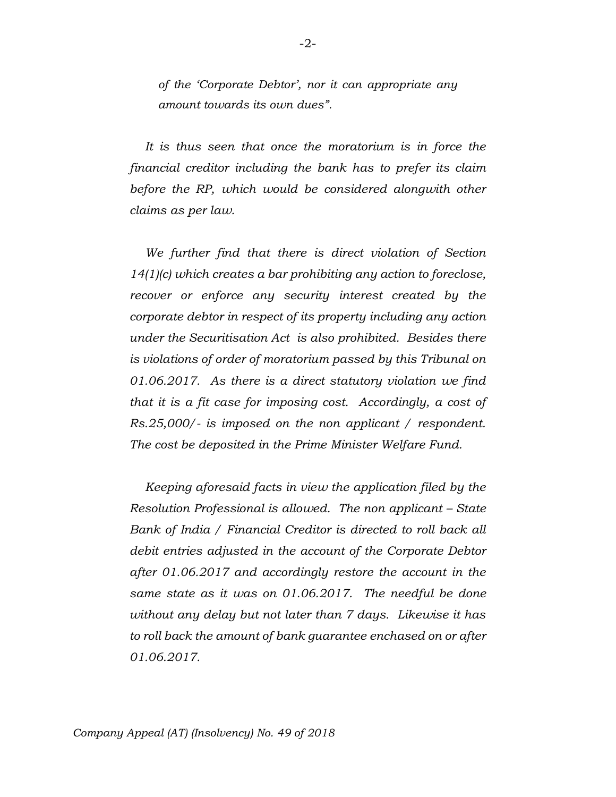*of the 'Corporate Debtor', nor it can appropriate any amount towards its own dues".*

*It is thus seen that once the moratorium is in force the financial creditor including the bank has to prefer its claim before the RP, which would be considered alongwith other claims as per law.*

*We further find that there is direct violation of Section 14(1)(c) which creates a bar prohibiting any action to foreclose, recover or enforce any security interest created by the corporate debtor in respect of its property including any action under the Securitisation Act is also prohibited. Besides there is violations of order of moratorium passed by this Tribunal on 01.06.2017. As there is a direct statutory violation we find that it is a fit case for imposing cost. Accordingly, a cost of Rs.25,000/- is imposed on the non applicant / respondent. The cost be deposited in the Prime Minister Welfare Fund.*

*Keeping aforesaid facts in view the application filed by the Resolution Professional is allowed. The non applicant – State Bank of India / Financial Creditor is directed to roll back all debit entries adjusted in the account of the Corporate Debtor after 01.06.2017 and accordingly restore the account in the same state as it was on 01.06.2017. The needful be done without any delay but not later than 7 days. Likewise it has to roll back the amount of bank guarantee enchased on or after 01.06.2017.*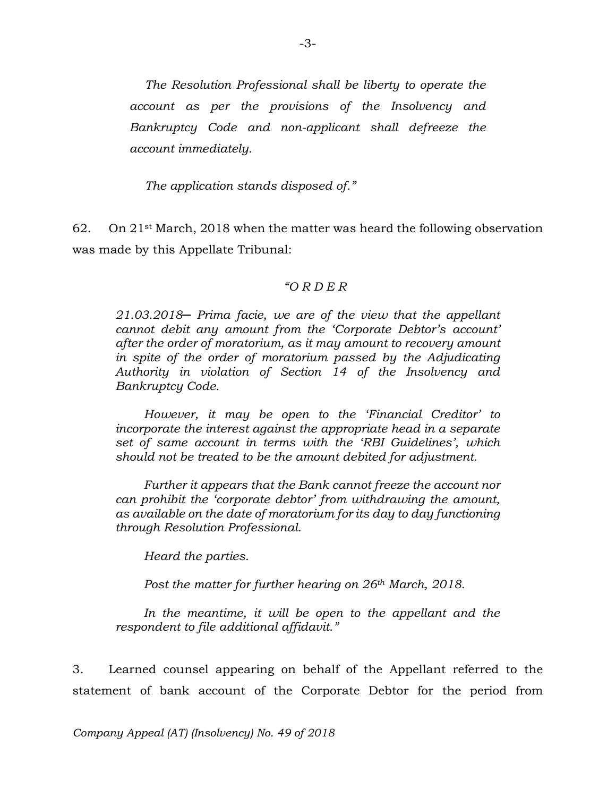*The Resolution Professional shall be liberty to operate the account as per the provisions of the Insolvency and Bankruptcy Code and non-applicant shall defreeze the account immediately.*

*The application stands disposed of."*

62. On  $21^{st}$  March, 2018 when the matter was heard the following observation was made by this Appellate Tribunal:

### *"O R D E R*

*21.03.2018─ Prima facie, we are of the view that the appellant cannot debit any amount from the 'Corporate Debtor's account' after the order of moratorium, as it may amount to recovery amount in spite of the order of moratorium passed by the Adjudicating Authority in violation of Section 14 of the Insolvency and Bankruptcy Code.*

*However, it may be open to the 'Financial Creditor' to incorporate the interest against the appropriate head in a separate set of same account in terms with the 'RBI Guidelines', which should not be treated to be the amount debited for adjustment.* 

*Further it appears that the Bank cannot freeze the account nor can prohibit the 'corporate debtor' from withdrawing the amount, as available on the date of moratorium for its day to day functioning through Resolution Professional.* 

*Heard the parties.* 

*Post the matter for further hearing on 26th March, 2018.*

In the meantime, it will be open to the appellant and the *respondent to file additional affidavit."*

3. Learned counsel appearing on behalf of the Appellant referred to the statement of bank account of the Corporate Debtor for the period from

*Company Appeal (AT) (Insolvency) No. 49 of 2018*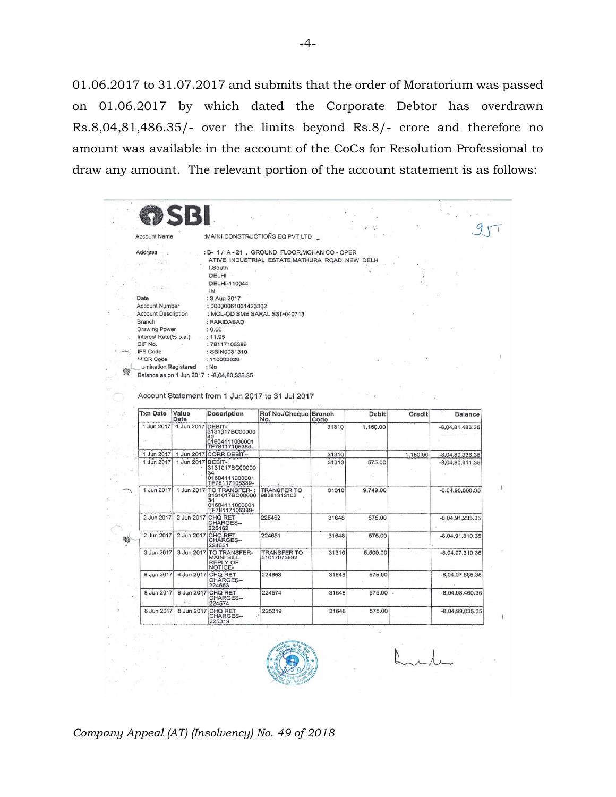01.06.2017 to 31.07.2017 and submits that the order of Moratorium was passed on 01.06.2017 by which dated the Corporate Debtor has overdrawn Rs.8,04,81,486.35/- over the limits beyond Rs.8/- crore and therefore no amount was available in the account of the CoCs for Resolution Professional to draw any amount. The relevant portion of the account statement is as follows:

 $\sim$  $95$  $\ddots$ Account Name :MAINI CONSTRUCTIONS EQ PVT LTD Address : B- 1 / A-21, GROUND FLOOR, MOHAN CO - OPER ATIVE INDUSTRIAL ESTATE, MATHURA ROAD NEW DELH I.South DELHI DELHI-110044  $\overline{N}$ Date : 3 Aug 2017 Account Number : 00000061031423302 **Account Description** : MCL-QD SME SARAL SSI>040713 : FARIDABAD Branch **Drawing Power**  $: 0.00$ Interest Rate(% p.a.)  $: 11.95$ CIF No. : 78117105389 **IFS Code** : SBIN0031310 MICR Code : 110002626 omination Registered  $: No$ 廢 Balance as on 1 Jun 2017 : -8,04,80,336.35 Account Statement from 1 Jun 2017 to 31 Jul 2017 Txn Date Value Ref No./Cheque Branch<br>No. Code **Description** Debit Credit Balance Date 1 Jun 2017 31310 DEBIT-:<br>3131017BC00000 1 Jun 2017 1.150.00  $-8.04.81.486.35$ 3131017BC00000<br>40<br>01604111000001<br>TE78117105389-1 Jun 2017 1 Jun 2017 CORR DEBIT-31310 1,150.00  $-8,04,80,336.35$ 1 Jun 2017 DEBIT-1<br>
1 Jun 2017 DEBIT-1<br>
3131017BC00000<br>
31604111000001<br>
TF78117105389-1 Jun 2017 31310 575.00 8,04,80,911.35 TO TRANSFER-1  $\overline{1}$ 9,749.00 1 Jun 2017 1 Jun 2017 TRANSFER TO<br>98381313103 31310  $-8.04.90.660.35$ 2 Jun 2017 CHO RET 2 Jun 2017 225462 31648 575.00  $-8,04,91,235.35$ 2 Jun 2017 2 Jun 2017 CHO RET 224651 31648 575.00  $-8.04$  91.810.35 職 224651 TÓ TRANSFER-<br>MÁINI BILL<br>REPLY OF<br>NOTICE-3 Jun 2017 3 Jun 2017 31310 5,500.00 8,04,97,310.35 TRANSFER TO<br>51017073992 6 Jun 2017 6 Jun 2017 224653 31648 575.00  $-8,04,97,885.35$ CHO RET<br>CHARGES-224653 CHO RET<br>CHO RET<br>CHARGES--224574 575.00  $-8,04,98,460.35$ 8 Jun 2017 8 Jun 2017 31648 CHORET<br>CHORET<br>CHARGES-8 Jun 2017 8 Jun 2017 225319 31648 575.00  $-8,04,99,035.35$ 225319



÷.

### *Company Appeal (AT) (Insolvency) No. 49 of 2018*